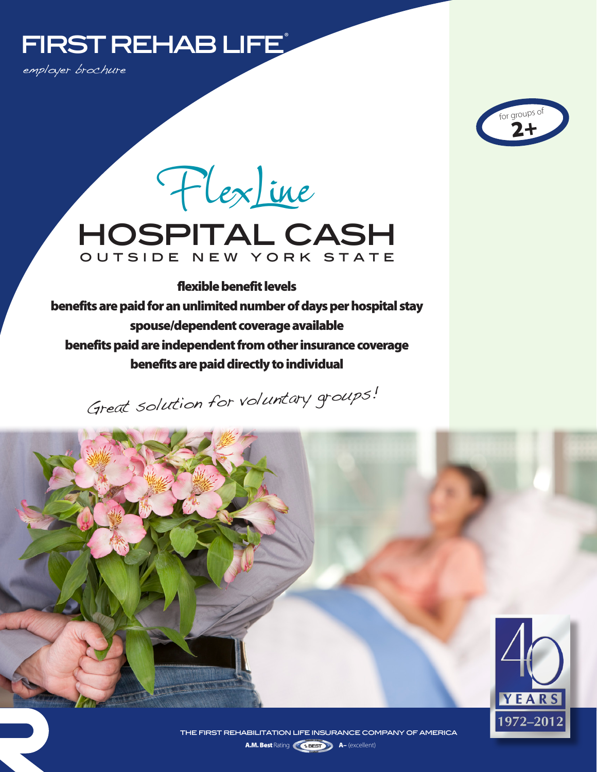# FIRST REHAB LIFE

employer brochure



hospital cash outside new york state FlexLine

flexible benefit levels benefits are paid for an unlimited number of days per hospital stay spouse/dependent coverage available benefits paid are independent from other insurance coverage benefits are paid directly to individual

Great solution for voluntary groups!



A.M. Best Rating **A– (excellent)** A– (excellent) the first rehabilitation life insurance company of america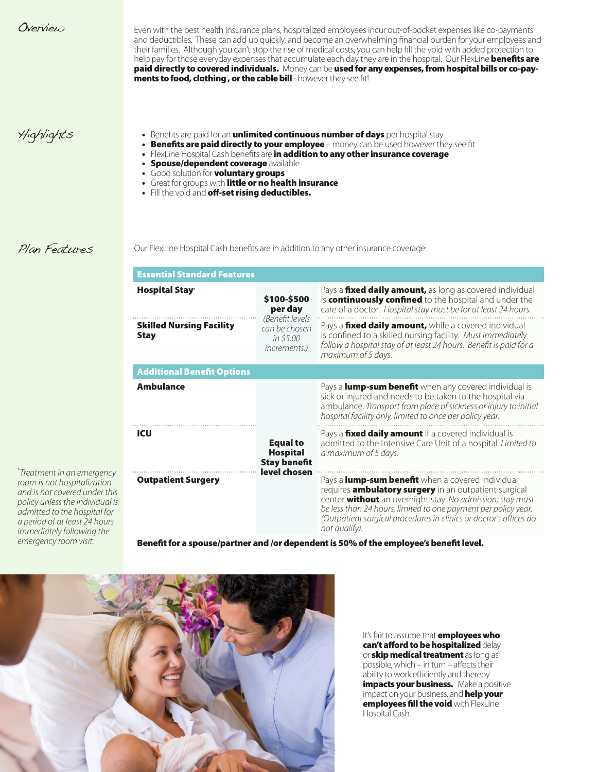Even with the best health insurance plans, hospitalized employees incur out-of-pocket expenses like co-payments and deductibles. These can add up quickly, and become an overwhelming financial burden for your employees and their families. Although you can't stop the rise of medical costs, you can help fill the void with added protection to help pay for those everyday expenses that accumulate each day they are in the hospital. Our FlexLine **benefits are** paid directly to covered individuals. Money can be used for any expenses, from hospital bills or co-pay**ments to food, clothing , or the cable bill** - however they see fit!

- Highlights  **Benefits are paid for an unlimited continuous number of days** per hospital stay
	- Benefits are paid directly to your employee money can be used however they see fit
	- FlexLine Hospital Cash benefits are in addition to any other insurance coverage
	- **Spouse/dependent coverage available**
	- Good solution for **voluntary groups**
	- Great for groups with little or no health insurance
	- Fill the void and off-set rising deductibles.

### Plan Features

\* *Treatment in an emergency room is not hospitalization and is not covered under this policy unless the individual is admitted to the hospital for a period of at least 24 hours immediately following the emergency room visit.*

Our FlexLine Hospital Cash benefits are in addition to any other insurance coverage:

| <b>Essential Standard Features</b>                        |                                                                                                                                                                                                                                                                                                                                        |
|-----------------------------------------------------------|----------------------------------------------------------------------------------------------------------------------------------------------------------------------------------------------------------------------------------------------------------------------------------------------------------------------------------------|
| \$100-\$500<br>per day                                    | Pays a fixed daily amount, as long as covered individual<br>is continuously confined to the hospital and under the<br>care of a doctor. Hospital stay must be for at least 24 hours.                                                                                                                                                   |
| can be chosen<br>in \$5.00<br><i>increments.</i> )        | Pays a fixed daily amount, while a covered individual<br>is confined to a skilled nursing facility. Must immediately<br>follow a hospital stay of at least 24 hours. Benefit is paid for a<br>maximum of 5 days.                                                                                                                       |
|                                                           |                                                                                                                                                                                                                                                                                                                                        |
|                                                           | Pays a lump-sum benefit when any covered individual is<br>sick or injured and needs to be taken to the hospital via<br>ambulance. Transport from place of sickness or injury to initial<br>hospital facility only, limited to once per policy year.                                                                                    |
| <b>Equal to</b><br><b>Hospital</b><br><b>Stay benefit</b> | Pays a fixed daily amount if a covered individual is<br>admitted to the Intensive Care Unit of a hospital. Limited to<br>a maximum of 5 days.                                                                                                                                                                                          |
|                                                           | Pays a lump-sum benefit when a covered individual<br>requires <b>ambulatory surgery</b> in an outpatient surgical<br>center without an overnight stay. No admission; stay must<br>be less than 24 hours, limited to one payment per policy year.<br>(Outpatient surgical procedures in clinics or doctor's offices do<br>not qualify). |
|                                                           | (Benefit levels<br>level chosen                                                                                                                                                                                                                                                                                                        |

tner and /or dependent is 50% of the employee's benefit level.



It's fair to assume that **employees who** can't afford to be hospitalized delay or **skip medical treatment** as long as possible, which – in turn – affects their ability to work efficiently and thereby impacts your business. Make a positive impact on your business, and **help your** employees fill the void with FlexLIne Hospital Cash.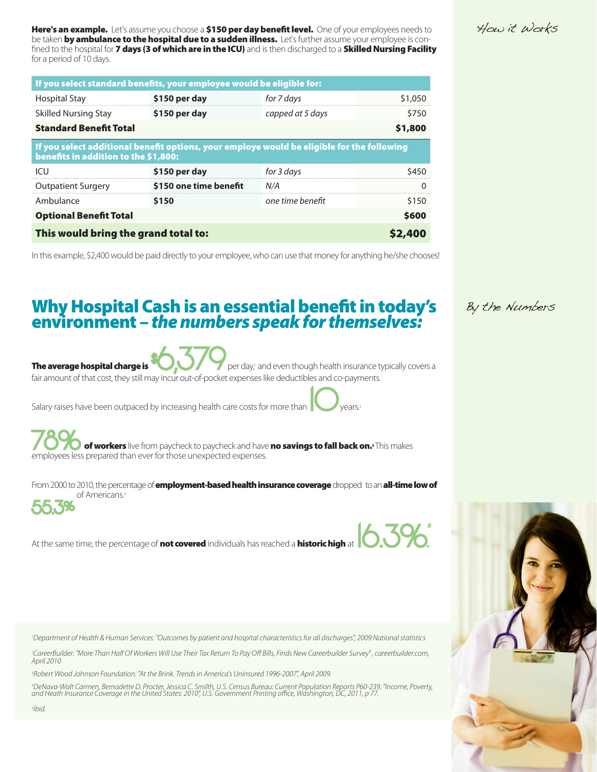for a period of 10 days.

| If you select standard benefits, your employee would be eligible for:                                                              |                        |                  |         |  |
|------------------------------------------------------------------------------------------------------------------------------------|------------------------|------------------|---------|--|
| <b>Hospital Stay</b>                                                                                                               | \$150 per day          | for 7 days       | \$1,050 |  |
| <b>Skilled Nursing Stay</b>                                                                                                        | \$150 per day          | capped at 5 days | \$750   |  |
| <b>Standard Benefit Total</b><br>\$1,800                                                                                           |                        |                  |         |  |
| If you select additional benefit options, your employe would be eligible for the following<br>benefits in addition to the \$1,800: |                        |                  |         |  |
| ICU                                                                                                                                | \$150 per day          | for 3 days       | \$450   |  |
| <b>Outpatient Surgery</b>                                                                                                          | \$150 one time benefit | N/A              | ∩       |  |
| Ambulance                                                                                                                          | \$150                  | one time benefit | \$150   |  |
| <b>Optional Benefit Total</b><br><b>\$600</b>                                                                                      |                        |                  |         |  |
| This would bring the grand total to:<br>\$2,400                                                                                    |                        |                  |         |  |

Here's an example. Let's assume you choose a \$150 per day benefit level. One of your employees needs to be taken **by ambulance to the hospital due to a sudden illness.** Let's further assume your employee is confined to the hospital for 7 days (3 of which are in the ICU) and is then discharged to a Skilled Nursing Facility

In this example, \$2,400 would be paid directly to your employee, who can use that money for anything he/she chooses!

## Why Hospital Cash is an essential benefit in today's environment – *the numbers speak for themselves:*

The average hospital charge is The average hospital charge is **the State of the State of the average hospital charge is**<br>fair amount of that cost, they still may incur out-of-pocket expenses like deductibles and co-payments. per day,<sup>a</sup> and even though health insurance typically covers a

Salary raises have been outpaced by increasing health care costs for more than 10 years.

**of workers** live from paycheck to paycheck and have **no savings to fall back on.**<sup>3</sup> This makes employees less prepared than ever for those unexpected expenses.

From 2000 to 2010, the percentage of **employment-based health insurance coverage** dropped to an **all-time low of** 55.3% of Americans.4

At the same time, the percentage of not covered individuals has reached a historic high at



*1 Department of Health & Human Services: "Outcomes by patient and hospital characteristics for all discharges", 2009 National statistics*

*2 CareerBuilder: "More Than Half Of Workers Will Use Their Tax Return To Pay Off Bills, Finds New Careerbuilder Survey" , careerbuilder.com, April 2010*

*3 Robert Wood Johnson Foundation: "At the Brink. Trends in America's Uninsured 1996-2007", April 2009.*

"DeNava-Walt Carmen, Bernadette D. Procter, Jessica C. Smilth, U.S. Census Bureau: Current Population Reports P60-239, "Income, Poverty,<br>and Heath Insurance Coverage in the United States: 2010", U.S. Government Printing of

### By the Numbers